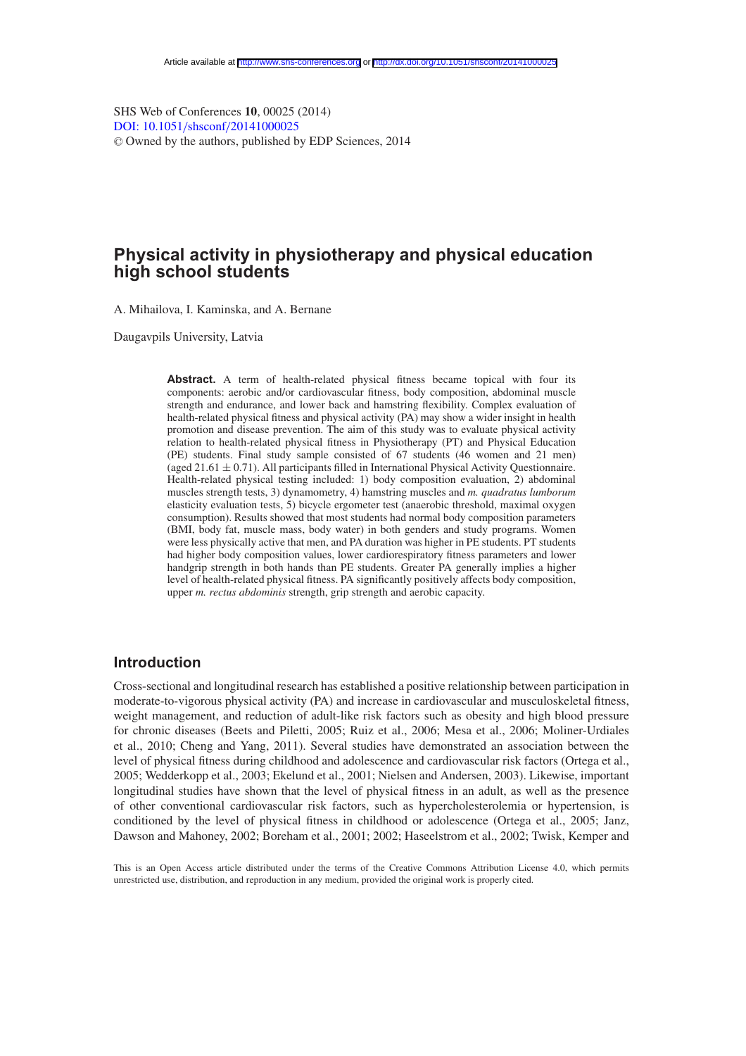SHS Web of Conferences **10**, 00025 (2014) [DOI: 10.1051](http://dx.doi.org/10.1051/shsconf/20141000025)/shsconf/20141000025 <sup>C</sup> Owned by the authors, published by EDP Sciences, 2014

# **Physical activity in physiotherapy and physical education high school students**

A. Mihailova, I. Kaminska, and A. Bernane

Daugavpils University, Latvia

**Abstract.** A term of health-related physical fitness became topical with four its components: aerobic and/or cardiovascular fitness, body composition, abdominal muscle strength and endurance, and lower back and hamstring flexibility. Complex evaluation of health-related physical fitness and physical activity (PA) may show a wider insight in health promotion and disease prevention. The aim of this study was to evaluate physical activity relation to health-related physical fitness in Physiotherapy (PT) and Physical Education (PE) students. Final study sample consisted of 67 students (46 women and 21 men) (aged  $21.61 \pm 0.71$ ). All participants filled in International Physical Activity Questionnaire. Health-related physical testing included: 1) body composition evaluation, 2) abdominal muscles strength tests, 3) dynamometry, 4) hamstring muscles and *m. quadratus lumborum* elasticity evaluation tests, 5) bicycle ergometer test (anaerobic threshold, maximal oxygen consumption). Results showed that most students had normal body composition parameters (BMI, body fat, muscle mass, body water) in both genders and study programs. Women were less physically active that men, and PA duration was higher in PE students. PT students had higher body composition values, lower cardiorespiratory fitness parameters and lower handgrip strength in both hands than PE students. Greater PA generally implies a higher level of health-related physical fitness. PA significantly positively affects body composition, upper *m. rectus abdominis* strength, grip strength and aerobic capacity.

### **Introduction**

Cross-sectional and longitudinal research has established a positive relationship between participation in moderate-to-vigorous physical activity (PA) and increase in cardiovascular and musculoskeletal fitness, weight management, and reduction of adult-like risk factors such as obesity and high blood pressure for chronic diseases (Beets and Piletti, 2005; Ruiz et al., 2006; Mesa et al., 2006; Moliner-Urdiales et al., 2010; Cheng and Yang, 2011). Several studies have demonstrated an association between the level of physical fitness during childhood and adolescence and cardiovascular risk factors (Ortega et al., 2005; Wedderkopp et al., 2003; Ekelund et al., 2001; Nielsen and Andersen, 2003). Likewise, important longitudinal studies have shown that the level of physical fitness in an adult, as well as the presence of other conventional cardiovascular risk factors, such as hypercholesterolemia or hypertension, is conditioned by the level of physical fitness in childhood or adolescence (Ortega et al., 2005; Janz, Dawson and Mahoney, 2002; Boreham et al., 2001; 2002; Haseelstrom et al., 2002; Twisk, Kemper and

This is an Open Access article distributed under the terms of the Creative Commons Attribution License 4.0, which permits unrestricted use, distribution, and reproduction in any medium, provided the original work is properly cited.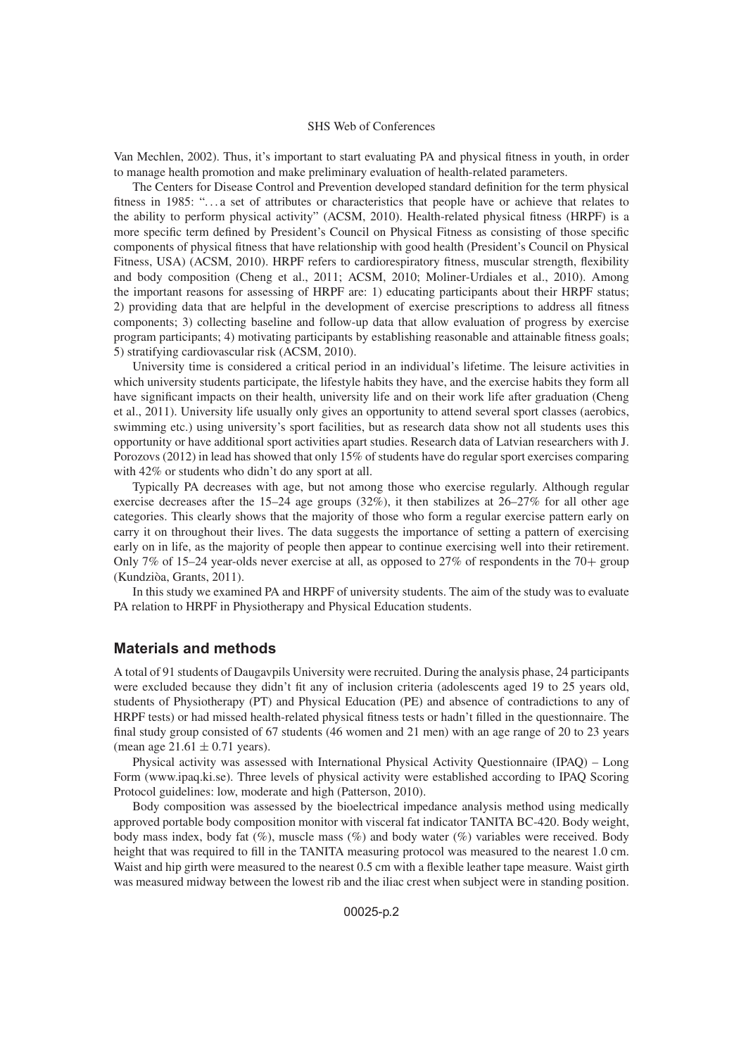Van Mechlen, 2002). Thus, it's important to start evaluating PA and physical fitness in youth, in order to manage health promotion and make preliminary evaluation of health-related parameters.

The Centers for Disease Control and Prevention developed standard definition for the term physical fitness in 1985: "...a set of attributes or characteristics that people have or achieve that relates to the ability to perform physical activity" (ACSM, 2010). Health-related physical fitness (HRPF) is a more specific term defined by President's Council on Physical Fitness as consisting of those specific components of physical fitness that have relationship with good health (President's Council on Physical Fitness, USA) (ACSM, 2010). HRPF refers to cardiorespiratory fitness, muscular strength, flexibility and body composition (Cheng et al., 2011; ACSM, 2010; Moliner-Urdiales et al., 2010). Among the important reasons for assessing of HRPF are: 1) educating participants about their HRPF status; 2) providing data that are helpful in the development of exercise prescriptions to address all fitness components; 3) collecting baseline and follow-up data that allow evaluation of progress by exercise program participants; 4) motivating participants by establishing reasonable and attainable fitness goals; 5) stratifying cardiovascular risk (ACSM, 2010).

University time is considered a critical period in an individual's lifetime. The leisure activities in which university students participate, the lifestyle habits they have, and the exercise habits they form all have significant impacts on their health, university life and on their work life after graduation (Cheng et al., 2011). University life usually only gives an opportunity to attend several sport classes (aerobics, swimming etc.) using university's sport facilities, but as research data show not all students uses this opportunity or have additional sport activities apart studies. Research data of Latvian researchers with J. Porozovs (2012) in lead has showed that only 15% of students have do regular sport exercises comparing with 42% or students who didn't do any sport at all.

Typically PA decreases with age, but not among those who exercise regularly. Although regular exercise decreases after the 15–24 age groups (32%), it then stabilizes at 26–27% for all other age categories. This clearly shows that the majority of those who form a regular exercise pattern early on carry it on throughout their lives. The data suggests the importance of setting a pattern of exercising early on in life, as the majority of people then appear to continue exercising well into their retirement. Only 7% of 15–24 year-olds never exercise at all, as opposed to 27% of respondents in the 70+ group (Kundziòa, Grants, 2011).

In this study we examined PA and HRPF of university students. The aim of the study was to evaluate PA relation to HRPF in Physiotherapy and Physical Education students.

### **Materials and methods**

A total of 91 students of Daugavpils University were recruited. During the analysis phase, 24 participants were excluded because they didn't fit any of inclusion criteria (adolescents aged 19 to 25 years old, students of Physiotherapy (PT) and Physical Education (PE) and absence of contradictions to any of HRPF tests) or had missed health-related physical fitness tests or hadn't filled in the questionnaire. The final study group consisted of 67 students (46 women and 21 men) with an age range of 20 to 23 years (mean age  $21.61 \pm 0.71$  years).

Physical activity was assessed with International Physical Activity Questionnaire (IPAQ) – Long Form (www.ipaq.ki.se). Three levels of physical activity were established according to IPAQ Scoring Protocol guidelines: low, moderate and high (Patterson, 2010).

Body composition was assessed by the bioelectrical impedance analysis method using medically approved portable body composition monitor with visceral fat indicator TANITA BC-420. Body weight, body mass index, body fat (%), muscle mass (%) and body water (%) variables were received. Body height that was required to fill in the TANITA measuring protocol was measured to the nearest 1.0 cm. Waist and hip girth were measured to the nearest 0.5 cm with a flexible leather tape measure. Waist girth was measured midway between the lowest rib and the iliac crest when subject were in standing position.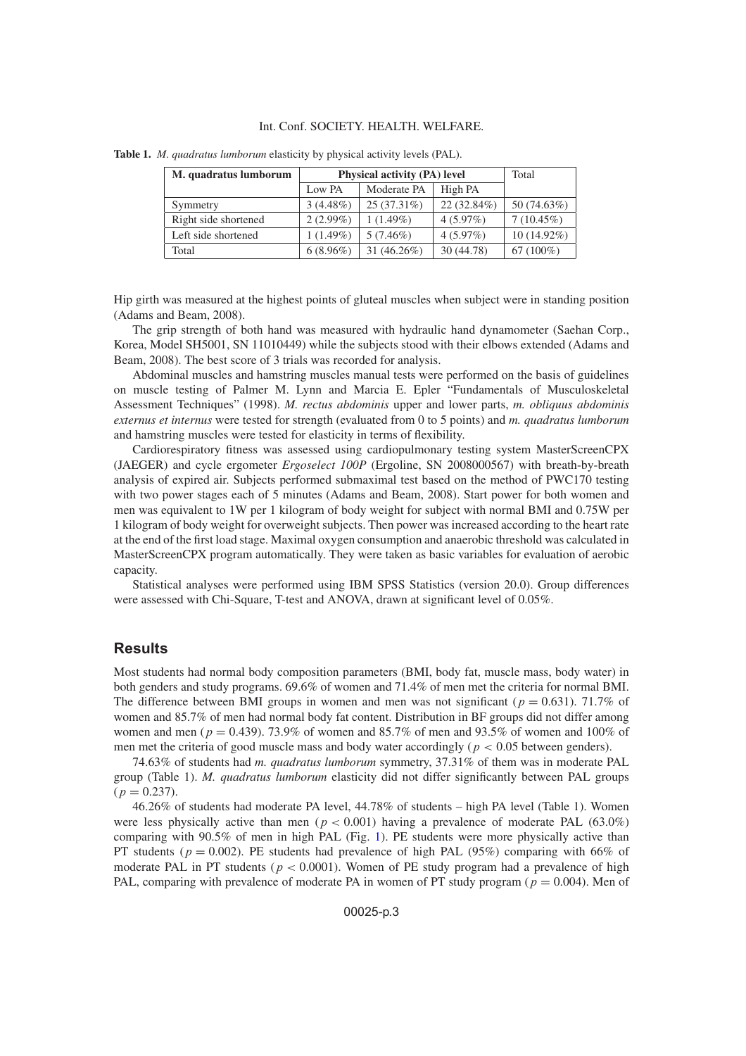#### Int. Conf. SOCIETY. HEALTH. WELFARE.

| M. quadratus lumborum | <b>Physical activity (PA) level</b> |                |               | Total        |
|-----------------------|-------------------------------------|----------------|---------------|--------------|
|                       | Low PA                              | Moderate PA    | High PA       |              |
| Symmetry              | $3(4.48\%)$                         | $25(37.31\%)$  | $22(32.84\%)$ | 50 (74.63%)  |
| Right side shortened  | $2(2.99\%)$                         | $1(1.49\%)$    | 4(5.97%)      | $7(10.45\%)$ |
| Left side shortened   | $1(1.49\%)$                         | $5(7.46\%)$    | $4(5.97\%)$   | 10 (14.92%)  |
| Total                 | $6(8.96\%)$                         | 31 $(46.26\%)$ | 30 (44.78)    | $67(100\%)$  |

**Table 1.** *M. quadratus lumborum* elasticity by physical activity levels (PAL).

Hip girth was measured at the highest points of gluteal muscles when subject were in standing position (Adams and Beam, 2008).

The grip strength of both hand was measured with hydraulic hand dynamometer (Saehan Corp., Korea, Model SH5001, SN 11010449) while the subjects stood with their elbows extended (Adams and Beam, 2008). The best score of 3 trials was recorded for analysis.

Abdominal muscles and hamstring muscles manual tests were performed on the basis of guidelines on muscle testing of Palmer M. Lynn and Marcia E. Epler "Fundamentals of Musculoskeletal Assessment Techniques" (1998). *M. rectus abdominis* upper and lower parts, *m. obliquus abdominis externus et internus* were tested for strength (evaluated from 0 to 5 points) and *m. quadratus lumborum* and hamstring muscles were tested for elasticity in terms of flexibility.

Cardiorespiratory fitness was assessed using cardiopulmonary testing system MasterScreenCPX (JAEGER) and cycle ergometer *Ergoselect 100P* (Ergoline, SN 2008000567) with breath-by-breath analysis of expired air. Subjects performed submaximal test based on the method of PWC170 testing with two power stages each of 5 minutes (Adams and Beam, 2008). Start power for both women and men was equivalent to 1W per 1 kilogram of body weight for subject with normal BMI and 0.75W per 1 kilogram of body weight for overweight subjects. Then power was increased according to the heart rate at the end of the first load stage. Maximal oxygen consumption and anaerobic threshold was calculated in MasterScreenCPX program automatically. They were taken as basic variables for evaluation of aerobic capacity.

Statistical analyses were performed using IBM SPSS Statistics (version 20.0). Group differences were assessed with Chi-Square, T-test and ANOVA, drawn at significant level of 0.05%.

## **Results**

Most students had normal body composition parameters (BMI, body fat, muscle mass, body water) in both genders and study programs. 69.6% of women and 71.4% of men met the criteria for normal BMI. The difference between BMI groups in women and men was not significant ( $p = 0.631$ ). 71.7% of women and 85.7% of men had normal body fat content. Distribution in BF groups did not differ among women and men ( $p = 0.439$ ). 73.9% of women and 85.7% of men and 93.5% of women and 100% of men met the criteria of good muscle mass and body water accordingly ( $p < 0.05$  between genders).

74.63% of students had *m. quadratus lumborum* symmetry, 37.31% of them was in moderate PAL group (Table 1). *M. quadratus lumborum* elasticity did not differ significantly between PAL groups  $(p = 0.237)$ .

46.26% of students had moderate PA level, 44.78% of students – high PA level (Table 1). Women were less physically active than men ( $p < 0.001$ ) having a prevalence of moderate PAL (63.0%) comparing with 90.5% of men in high PAL (Fig. [1\)](#page-3-0). PE students were more physically active than PT students ( $p = 0.002$ ). PE students had prevalence of high PAL (95%) comparing with 66% of moderate PAL in PT students ( $p < 0.0001$ ). Women of PE study program had a prevalence of high PAL, comparing with prevalence of moderate PA in women of PT study program ( $p = 0.004$ ). Men of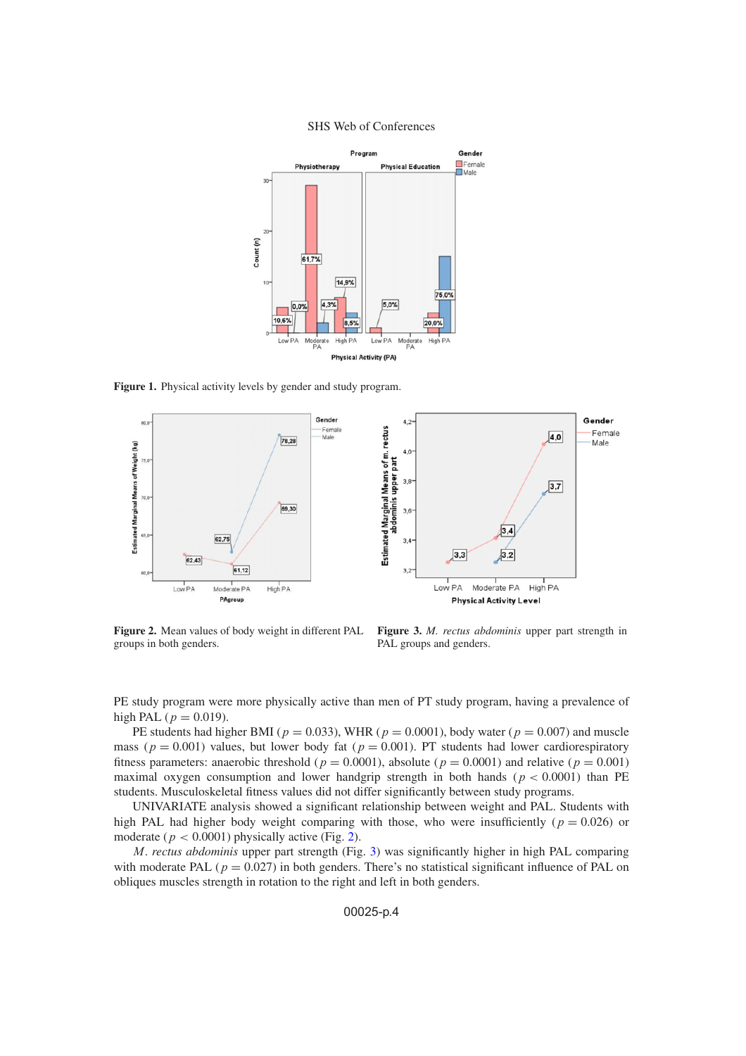<span id="page-3-0"></span>

**Figure 1.** Physical activity levels by gender and study program.

<span id="page-3-1"></span>

**Figure 2.** Mean values of body weight in different PAL groups in both genders.

**Figure 3.** *M. rectus abdominis* upper part strength in PAL groups and genders.

<span id="page-3-2"></span>PE study program were more physically active than men of PT study program, having a prevalence of high PAL ( $p = 0.019$ ).

PE students had higher BMI ( $p = 0.033$ ), WHR ( $p = 0.0001$ ), body water ( $p = 0.007$ ) and muscle mass ( $p = 0.001$ ) values, but lower body fat ( $p = 0.001$ ). PT students had lower cardiorespiratory fitness parameters: anaerobic threshold ( $p = 0.0001$ ), absolute ( $p = 0.0001$ ) and relative ( $p = 0.001$ ) maximal oxygen consumption and lower handgrip strength in both hands ( $p < 0.0001$ ) than PE students. Musculoskeletal fitness values did not differ significantly between study programs.

UNIVARIATE analysis showed a significant relationship between weight and PAL. Students with high PAL had higher body weight comparing with those, who were insufficiently ( $p = 0.026$ ) or moderate ( $p < 0.0001$ ) physically active (Fig. [2\)](#page-3-1).

M. *rectus abdominis* upper part strength (Fig. [3\)](#page-3-2) was significantly higher in high PAL comparing with moderate PAL ( $p = 0.027$ ) in both genders. There's no statistical significant influence of PAL on obliques muscles strength in rotation to the right and left in both genders.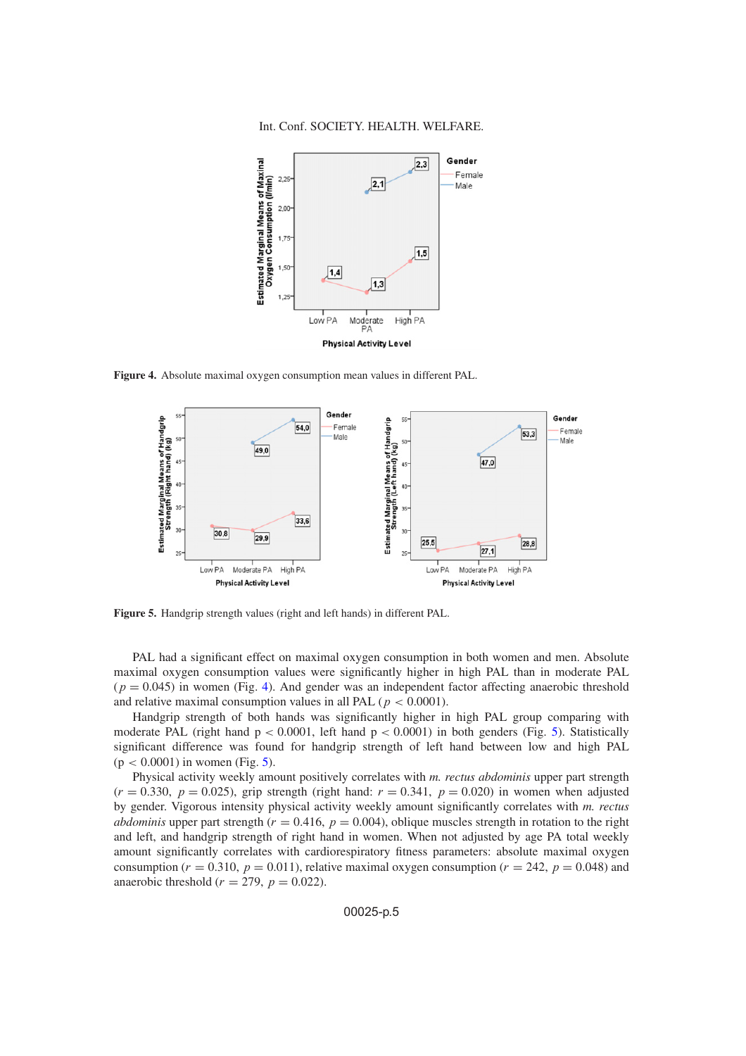#### Int. Conf. SOCIETY. HEALTH. WELFARE.

<span id="page-4-0"></span>

<span id="page-4-1"></span>**Figure 4.** Absolute maximal oxygen consumption mean values in different PAL.



**Figure 5.** Handgrip strength values (right and left hands) in different PAL.

PAL had a significant effect on maximal oxygen consumption in both women and men. Absolute maximal oxygen consumption values were significantly higher in high PAL than in moderate PAL  $(p = 0.045)$  in women (Fig. [4\)](#page-4-0). And gender was an independent factor affecting anaerobic threshold and relative maximal consumption values in all PAL ( $p < 0.0001$ ).

Handgrip strength of both hands was significantly higher in high PAL group comparing with moderate PAL (right hand  $p < 0.0001$ , left hand  $p < 0.0001$ ) in both genders (Fig. [5\)](#page-4-1). Statistically significant difference was found for handgrip strength of left hand between low and high PAL  $(p < 0.0001)$  in women (Fig. [5\)](#page-4-1).

Physical activity weekly amount positively correlates with *m. rectus abdominis* upper part strength  $(r = 0.330, p = 0.025)$ , grip strength (right hand:  $r = 0.341, p = 0.020$ ) in women when adjusted by gender. Vigorous intensity physical activity weekly amount significantly correlates with *m. rectus abdominis* upper part strength ( $r = 0.416$ ,  $p = 0.004$ ), oblique muscles strength in rotation to the right and left, and handgrip strength of right hand in women. When not adjusted by age PA total weekly amount significantly correlates with cardiorespiratory fitness parameters: absolute maximal oxygen consumption ( $r = 0.310$ ,  $p = 0.011$ ), relative maximal oxygen consumption ( $r = 242$ ,  $p = 0.048$ ) and anaerobic threshold ( $r = 279$ ,  $p = 0.022$ ).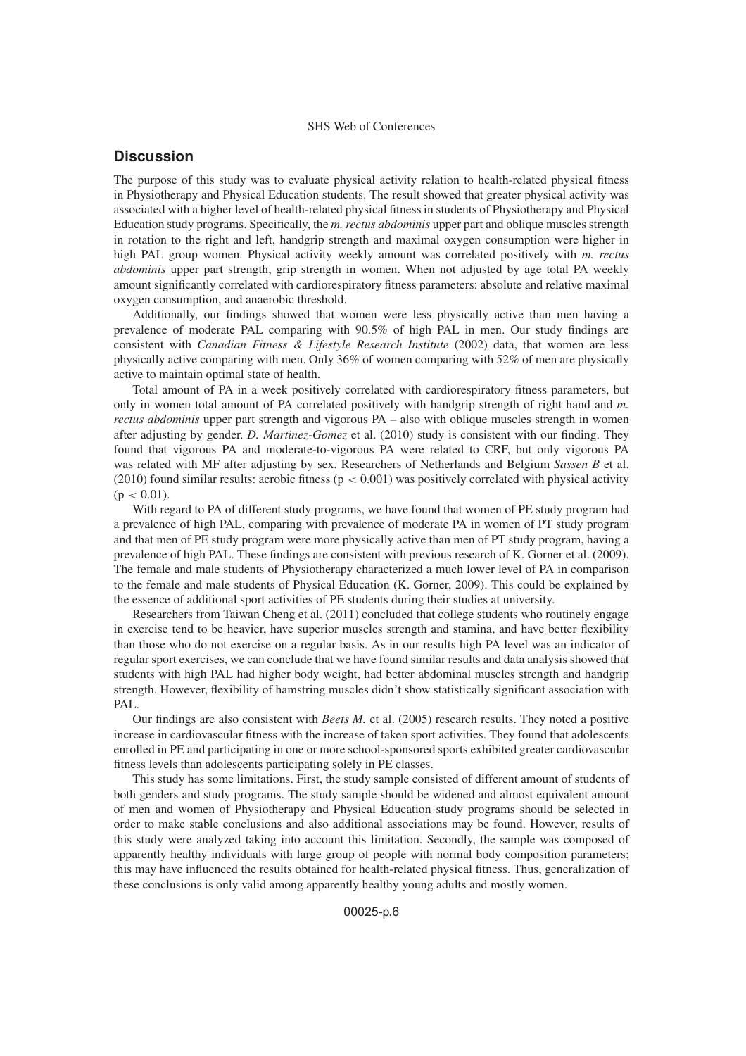# **Discussion**

The purpose of this study was to evaluate physical activity relation to health-related physical fitness in Physiotherapy and Physical Education students. The result showed that greater physical activity was associated with a higher level of health-related physical fitness in students of Physiotherapy and Physical Education study programs. Specifically, the *m. rectus abdominis* upper part and oblique muscles strength in rotation to the right and left, handgrip strength and maximal oxygen consumption were higher in high PAL group women. Physical activity weekly amount was correlated positively with *m. rectus abdominis* upper part strength, grip strength in women. When not adjusted by age total PA weekly amount significantly correlated with cardiorespiratory fitness parameters: absolute and relative maximal oxygen consumption, and anaerobic threshold.

Additionally, our findings showed that women were less physically active than men having a prevalence of moderate PAL comparing with 90.5% of high PAL in men. Our study findings are consistent with *Canadian Fitness & Lifestyle Research Institute* (2002) data, that women are less physically active comparing with men. Only 36% of women comparing with 52% of men are physically active to maintain optimal state of health.

Total amount of PA in a week positively correlated with cardiorespiratory fitness parameters, but only in women total amount of PA correlated positively with handgrip strength of right hand and *m. rectus abdominis* upper part strength and vigorous PA – also with oblique muscles strength in women after adjusting by gender. *D. Martinez-Gomez* et al. (2010) study is consistent with our finding. They found that vigorous PA and moderate-to-vigorous PA were related to CRF, but only vigorous PA was related with MF after adjusting by sex. Researchers of Netherlands and Belgium *Sassen B* et al. (2010) found similar results: aerobic fitness ( $p < 0.001$ ) was positively correlated with physical activity  $(p < 0.01)$ .

With regard to PA of different study programs, we have found that women of PE study program had a prevalence of high PAL, comparing with prevalence of moderate PA in women of PT study program and that men of PE study program were more physically active than men of PT study program, having a prevalence of high PAL. These findings are consistent with previous research of K. Gorner et al. (2009). The female and male students of Physiotherapy characterized a much lower level of PA in comparison to the female and male students of Physical Education (K. Gorner, 2009). This could be explained by the essence of additional sport activities of PE students during their studies at university.

Researchers from Taiwan Cheng et al. (2011) concluded that college students who routinely engage in exercise tend to be heavier, have superior muscles strength and stamina, and have better flexibility than those who do not exercise on a regular basis. As in our results high PA level was an indicator of regular sport exercises, we can conclude that we have found similar results and data analysis showed that students with high PAL had higher body weight, had better abdominal muscles strength and handgrip strength. However, flexibility of hamstring muscles didn't show statistically significant association with PAL.

Our findings are also consistent with *Beets M.* et al. (2005) research results. They noted a positive increase in cardiovascular fitness with the increase of taken sport activities. They found that adolescents enrolled in PE and participating in one or more school-sponsored sports exhibited greater cardiovascular fitness levels than adolescents participating solely in PE classes.

This study has some limitations. First, the study sample consisted of different amount of students of both genders and study programs. The study sample should be widened and almost equivalent amount of men and women of Physiotherapy and Physical Education study programs should be selected in order to make stable conclusions and also additional associations may be found. However, results of this study were analyzed taking into account this limitation. Secondly, the sample was composed of apparently healthy individuals with large group of people with normal body composition parameters; this may have influenced the results obtained for health-related physical fitness. Thus, generalization of these conclusions is only valid among apparently healthy young adults and mostly women.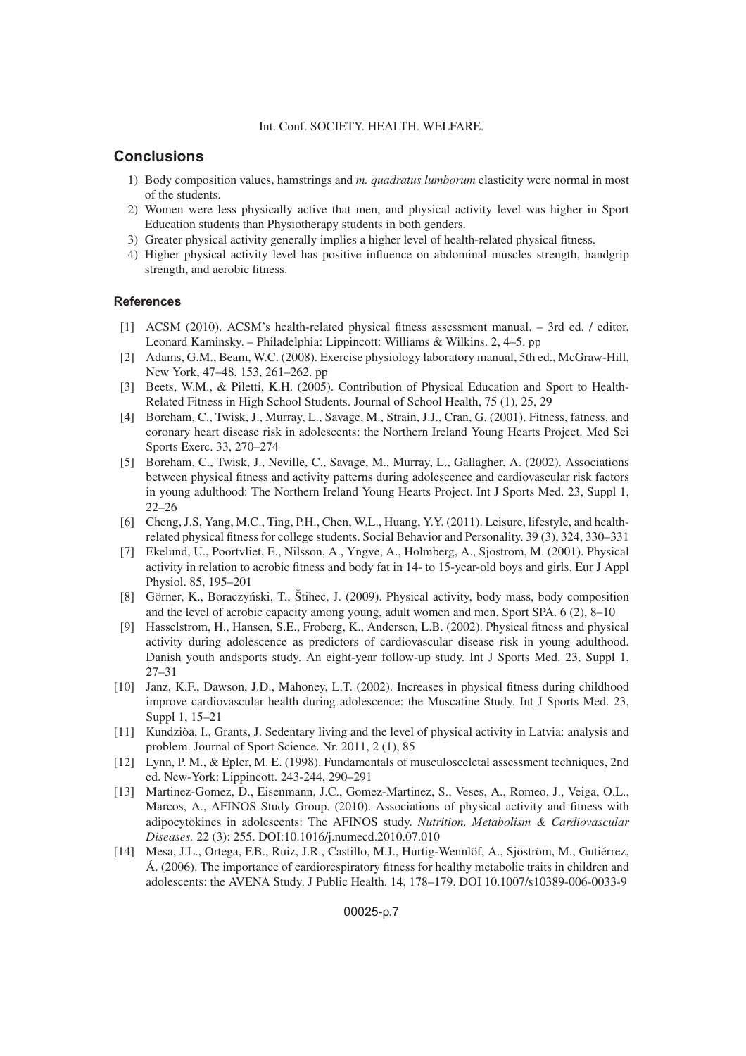#### Int. Conf. SOCIETY. HEALTH. WELFARE.

## **Conclusions**

- 1) Body composition values, hamstrings and *m. quadratus lumborum* elasticity were normal in most of the students.
- 2) Women were less physically active that men, and physical activity level was higher in Sport Education students than Physiotherapy students in both genders.
- 3) Greater physical activity generally implies a higher level of health-related physical fitness.
- 4) Higher physical activity level has positive influence on abdominal muscles strength, handgrip strength, and aerobic fitness.

### **References**

- [1] ACSM (2010). ACSM's health-related physical fitness assessment manual. 3rd ed. / editor, Leonard Kaminsky. – Philadelphia: Lippincott: Williams & Wilkins. 2, 4–5. pp
- [2] Adams, G.M., Beam, W.C. (2008). Exercise physiology laboratory manual, 5th ed., McGraw-Hill, New York, 47–48, 153, 261–262. pp
- [3] Beets, W.M., & Piletti, K.H. (2005). Contribution of Physical Education and Sport to Health-Related Fitness in High School Students. Journal of School Health, 75 (1), 25, 29
- [4] Boreham, C., Twisk, J., Murray, L., Savage, M., Strain, J.J., Cran, G. (2001). Fitness, fatness, and coronary heart disease risk in adolescents: the Northern Ireland Young Hearts Project. Med Sci Sports Exerc. 33, 270–274
- [5] Boreham, C., Twisk, J., Neville, C., Savage, M., Murray, L., Gallagher, A. (2002). Associations between physical fitness and activity patterns during adolescence and cardiovascular risk factors in young adulthood: The Northern Ireland Young Hearts Project. Int J Sports Med. 23, Suppl 1, 22–26
- [6] Cheng, J.S, Yang, M.C., Ting, P.H., Chen, W.L., Huang, Y.Y. (2011). Leisure, lifestyle, and healthrelated physical fitness for college students. Social Behavior and Personality. 39 (3), 324, 330–331
- [7] Ekelund, U., Poortvliet, E., Nilsson, A., Yngve, A., Holmberg, A., Sjostrom, M. (2001). Physical activity in relation to aerobic fitness and body fat in 14- to 15-year-old boys and girls. Eur J Appl Physiol. 85, 195–201
- [8] Görner, K., Boraczyński, T., Štihec, J. (2009). Physical activity, body mass, body composition and the level of aerobic capacity among young, adult women and men. Sport SPA. 6 (2), 8–10
- [9] Hasselstrom, H., Hansen, S.E., Froberg, K., Andersen, L.B. (2002). Physical fitness and physical activity during adolescence as predictors of cardiovascular disease risk in young adulthood. Danish youth andsports study. An eight-year follow-up study. Int J Sports Med. 23, Suppl 1, 27–31
- [10] Janz, K.F., Dawson, J.D., Mahoney, L.T. (2002). Increases in physical fitness during childhood improve cardiovascular health during adolescence: the Muscatine Study. Int J Sports Med. 23, Suppl 1, 15–21
- [11] Kundziòa, I., Grants, J. Sedentary living and the level of physical activity in Latvia: analysis and problem. Journal of Sport Science. Nr. 2011, 2 (1), 85
- [12] Lynn, P. M., & Epler, M. E. (1998). Fundamentals of musculosceletal assessment techniques, 2nd ed. New-York: Lippincott. 243-244, 290–291
- [13] Martinez-Gomez, D., Eisenmann, J.C., Gomez-Martinez, S., Veses, A., Romeo, J., Veiga, O.L., Marcos, A., AFINOS Study Group. (2010). Associations of physical activity and fitness with adipocytokines in adolescents: The AFINOS study. *Nutrition, Metabolism & Cardiovascular Diseases.* 22 (3): 255. DOI:10.1016/j.numecd.2010.07.010
- [14] Mesa, J.L., Ortega, F.B., Ruiz, J.R., Castillo, M.J., Hurtig-Wennlöf, A., Sjöström, M., Gutiérrez, Á. (2006). The importance of cardiorespiratory fitness for healthy metabolic traits in children and adolescents: the AVENA Study. J Public Health. 14, 178–179. DOI 10.1007/s10389-006-0033-9